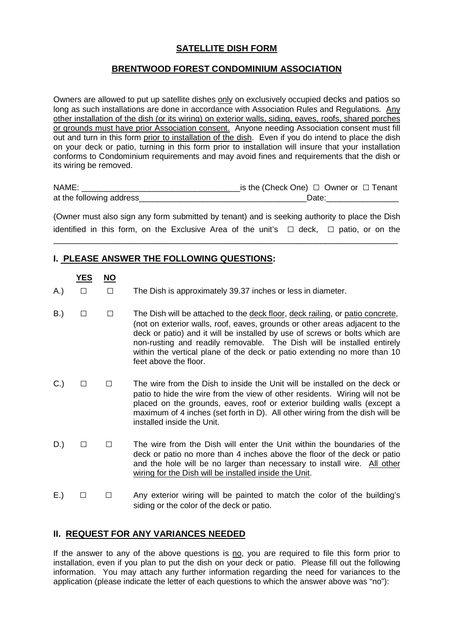# **SATELLITE DISH FORM**

#### **BRENTWOOD FOREST CONDOMINIUM ASSOCIATION**

Owners are allowed to put up satellite dishes only on exclusively occupied decks and patios so long as such installations are done in accordance with Association Rules and Regulations. Any other installation of the dish (or its wiring) on exterior walls, siding, eaves, roofs, shared porches or grounds must have prior Association consent. Anyone needing Association consent must fill out and turn in this form prior to installation of the dish. Even if you do intend to place the dish on your deck or patio, turning in this form prior to installation will insure that your installation conforms to Condominium requirements and may avoid fines and requirements that the dish or its wiring be removed.

| NAME:                     | _is the (Check One) $□$ Owner or $□$ Tenant |
|---------------------------|---------------------------------------------|
| at the following address_ | Date:                                       |

(Owner must also sign any form submitted by tenant) and is seeking authority to place the Dish identified in this form, on the Exclusive Area of the unit's **□** deck, **□** patio, or on the

\_\_\_\_\_\_\_\_\_\_\_\_\_\_\_\_\_\_\_\_\_\_\_\_\_\_\_\_\_\_\_\_\_\_\_\_\_\_\_\_\_\_\_\_\_\_\_\_\_\_\_\_\_\_\_\_\_\_\_\_\_\_\_\_\_\_\_\_\_\_\_\_\_\_\_\_

### **I. PLEASE ANSWER THE FOLLOWING QUESTIONS:**

- **YES NO** A.) **□ □** The Dish is approximately 39.37 inches or less in diameter. B.) □ □ The Dish will be attached to the <u>deck floor, deck railing</u>, or patio concrete, (not on exterior walls, roof, eaves, grounds or other areas adjacent to the deck or patio) and it will be installed by use of screws or bolts which are non-rusting and readily removable. The Dish will be installed entirely within the vertical plane of the deck or patio extending no more than 10 feet above the floor. C.) **□ □** The wire from the Dish to inside the Unit will be installed on the deck or
	- patio to hide the wire from the view of other residents. Wiring will not be placed on the grounds, eaves, roof or exterior building walls (except a maximum of 4 inches (set forth in D). All other wiring from the dish will be installed inside the Unit.
- D.) **□ □** The wire from the Dish will enter the Unit within the boundaries of the deck or patio no more than 4 inches above the floor of the deck or patio and the hole will be no larger than necessary to install wire. All other wiring for the Dish will be installed inside the Unit.
- E.) **□ □** Any exterior wiring will be painted to match the color of the building's siding or the color of the deck or patio.

# **II. REQUEST FOR ANY VARIANCES NEEDED**

If the answer to any of the above questions is  $\underline{n}$  you are required to file this form prior to installation, even if you plan to put the dish on your deck or patio. Please fill out the following information. You may attach any further information regarding the need for variances to the application (please indicate the letter of each questions to which the answer above was "no"):